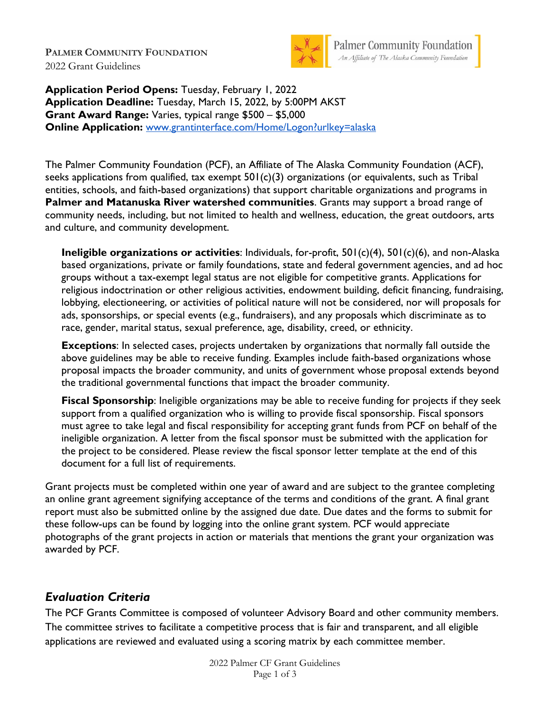**PALMER COMMUNITY FOUNDATION** 2022 Grant Guidelines



Palmer Community Foundation<br>An Affiliate of The Alaska Community Foundation

**Application Period Opens:** Tuesday, February 1, 2022 **Application Deadline:** Tuesday, March 15, 2022, by 5:00PM AKST **Grant Award Range:** Varies, typical range \$500 – \$5,000 **Online Application:** [www.grantinterface.com/Home/Logon?urlkey=alaska](https://www.grantinterface.com/Home/Logon?urlkey=alaska)

The Palmer Community Foundation (PCF), an Affiliate of The Alaska Community Foundation (ACF), seeks applications from qualified, tax exempt  $501(c)(3)$  organizations (or equivalents, such as Tribal entities, schools, and faith-based organizations) that support charitable organizations and programs in **Palmer and Matanuska River watershed communities**. Grants may support a broad range of community needs, including, but not limited to health and wellness, education, the great outdoors, arts and culture, and community development.

**Ineligible organizations or activities**: Individuals, for-profit, 501(c)(4), 501(c)(6), and non-Alaska based organizations, private or family foundations, state and federal government agencies, and ad hoc groups without a tax-exempt legal status are not eligible for competitive grants. Applications for religious indoctrination or other religious activities, endowment building, deficit financing, fundraising, lobbying, electioneering, or activities of political nature will not be considered, nor will proposals for ads, sponsorships, or special events (e.g., fundraisers), and any proposals which discriminate as to race, gender, marital status, sexual preference, age, disability, creed, or ethnicity.

**Exceptions**: In selected cases, projects undertaken by organizations that normally fall outside the above guidelines may be able to receive funding. Examples include faith-based organizations whose proposal impacts the broader community, and units of government whose proposal extends beyond the traditional governmental functions that impact the broader community.

**Fiscal Sponsorship**: Ineligible organizations may be able to receive funding for projects if they seek support from a qualified organization who is willing to provide fiscal sponsorship. Fiscal sponsors must agree to take legal and fiscal responsibility for accepting grant funds from PCF on behalf of the ineligible organization. A letter from the fiscal sponsor must be submitted with the application for the project to be considered. Please review the fiscal sponsor letter template at the end of this document for a full list of requirements.

Grant projects must be completed within one year of award and are subject to the grantee completing an online grant agreement signifying acceptance of the terms and conditions of the grant. A final grant report must also be submitted online by the assigned due date. Due dates and the forms to submit for these follow-ups can be found by logging into the online grant system. PCF would appreciate photographs of the grant projects in action or materials that mentions the grant your organization was awarded by PCF.

## *Evaluation Criteria*

The PCF Grants Committee is composed of volunteer Advisory Board and other community members. The committee strives to facilitate a competitive process that is fair and transparent, and all eligible applications are reviewed and evaluated using a scoring matrix by each committee member.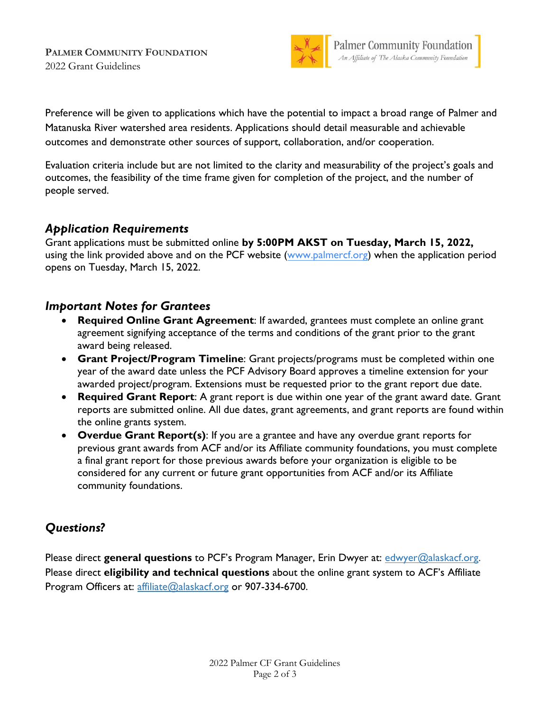**PALMER COMMUNITY FOUNDATION** 2022 Grant Guidelines



Preference will be given to applications which have the potential to impact a broad range of Palmer and Matanuska River watershed area residents. Applications should detail measurable and achievable outcomes and demonstrate other sources of support, collaboration, and/or cooperation.

Evaluation criteria include but are not limited to the clarity and measurability of the project's goals and outcomes, the feasibility of the time frame given for completion of the project, and the number of people served.

## *Application Requirements*

Grant applications must be submitted online **by 5:00PM AKST on Tuesday, March 15, 2022,** using the link provided above and on the PCF website [\(www.palmercf.org\)](http://www.palmercf.org/) when the application period opens on Tuesday, March 15, 2022.

## *Important Notes for Grantees*

- **Required Online Grant Agreement: If awarded, grantees must complete an online grant** agreement signifying acceptance of the terms and conditions of the grant prior to the grant award being released.
- **Grant Project/Program Timeline**: Grant projects/programs must be completed within one year of the award date unless the PCF Advisory Board approves a timeline extension for your awarded project/program. Extensions must be requested prior to the grant report due date.
- **Required Grant Report**: A grant report is due within one year of the grant award date. Grant reports are submitted online. All due dates, grant agreements, and grant reports are found within the online grants system.
- **Overdue Grant Report(s)**: If you are a grantee and have any overdue grant reports for previous grant awards from ACF and/or its Affiliate community foundations, you must complete a final grant report for those previous awards before your organization is eligible to be considered for any current or future grant opportunities from ACF and/or its Affiliate community foundations.

## *Questions?*

Please direct **general questions** to PCF's Program Manager, Erin Dwyer at: [edwyer@alaskacf.org.](mailto:edwyer@alaskacf.org) Please direct **eligibility and technical questions** about the online grant system to ACF's Affiliate Program Officers at: [affiliate@alaskacf.org](mailto:affiliate@alaskacf.org) or 907-334-6700.